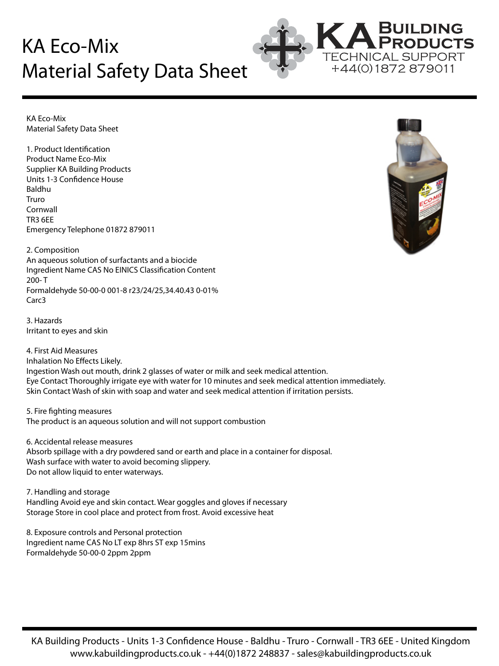## KA Eco-Mix Material Safety Data Sheet



KA Eco-Mix Material Safety Data Sheet

1. Product Identification Product Name Eco-Mix Supplier KA Building Products Units 1-3 Confidence House Baldhu Truro Cornwall TR3 6EE Emergency Telephone 01872 879011

2. Composition An aqueous solution of surfactants and a biocide Ingredient Name CAS No EINICS Classification Content 200- T Formaldehyde 50-00-0 001-8 r23/24/25,34.40.43 0-01% Carc3

3. Hazards Irritant to eyes and skin

4. First Aid Measures Inhalation No Effects Likely. Ingestion Wash out mouth, drink 2 glasses of water or milk and seek medical attention. Eye Contact Thoroughly irrigate eye with water for 10 minutes and seek medical attention immediately. Skin Contact Wash of skin with soap and water and seek medical attention if irritation persists.

5. Fire fighting measures The product is an aqueous solution and will not support combustion

6. Accidental release measures Absorb spillage with a dry powdered sand or earth and place in a container for disposal. Wash surface with water to avoid becoming slippery. Do not allow liquid to enter waterways.

7. Handling and storage Handling Avoid eye and skin contact. Wear goggles and gloves if necessary Storage Store in cool place and protect from frost. Avoid excessive heat

8. Exposure controls and Personal protection Ingredient name CAS No LT exp 8hrs ST exp 15mins Formaldehyde 50-00-0 2ppm 2ppm